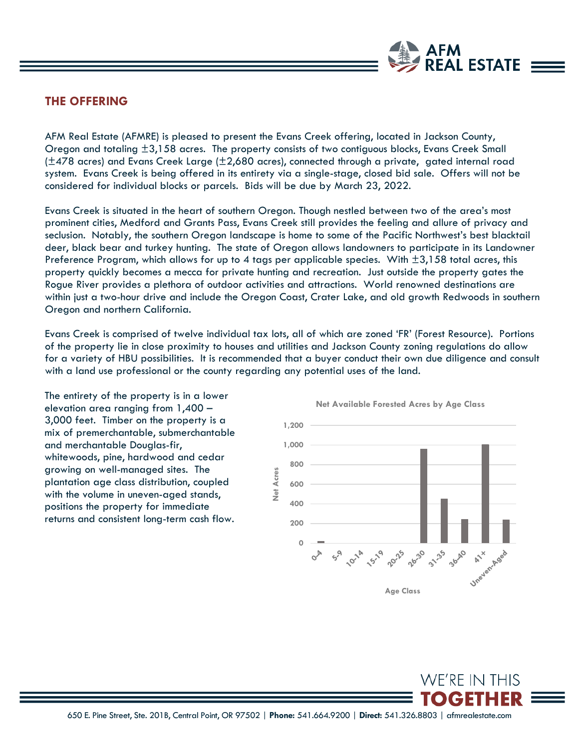

## **THE OFFERING**

AFM Real Estate (AFMRE) is pleased to present the Evans Creek offering, located in Jackson County, Oregon and totaling ±3,158 acres. The property consists of two contiguous blocks, Evans Creek Small (±478 acres) and Evans Creek Large (±2,680 acres), connected through a private, gated internal road system. Evans Creek is being offered in its entirety via a single-stage, closed bid sale. Offers will not be considered for individual blocks or parcels. Bids will be due by March 23, 2022.

Evans Creek is situated in the heart of southern Oregon. Though nestled between two of the area's most prominent cities, Medford and Grants Pass, Evans Creek still provides the feeling and allure of privacy and seclusion. Notably, the southern Oregon landscape is home to some of the Pacific Northwest's best blacktail deer, black bear and turkey hunting. The state of Oregon allows landowners to participate in its Landowner Preference Program, which allows for up to 4 tags per applicable species. With  $\pm 3,158$  total acres, this property quickly becomes a mecca for private hunting and recreation. Just outside the property gates the Rogue River provides a plethora of outdoor activities and attractions. World renowned destinations are within just a two-hour drive and include the Oregon Coast, Crater Lake, and old growth Redwoods in southern Oregon and northern California.

Evans Creek is comprised of twelve individual tax lots, all of which are zoned 'FR' (Forest Resource). Portions of the property lie in close proximity to houses and utilities and Jackson County zoning regulations do allow for a variety of HBU possibilities. It is recommended that a buyer conduct their own due diligence and consult with a land use professional or the county regarding any potential uses of the land.

The entirety of the property is in a lower elevation area ranging from 1,400 – 3,000 feet. Timber on the property is a mix of premerchantable, submerchantable and merchantable Douglas-fir, whitewoods, pine, hardwood and cedar growing on well-managed sites. The plantation age class distribution, coupled with the volume in uneven-aged stands, positions the property for immediate returns and consistent long-term cash flow.



**WE'RE IN THIS**